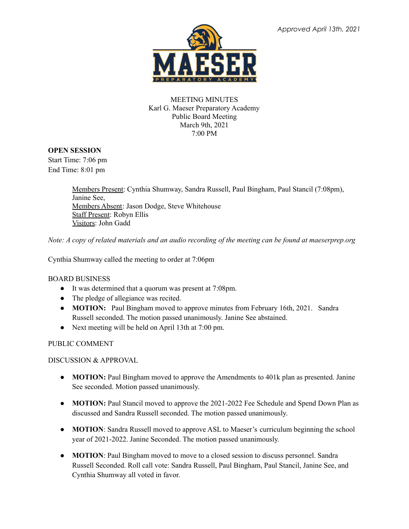

#### MEETING MINUTES Karl G. Maeser Preparatory Academy Public Board Meeting March 9th, 2021 7:00 PM

#### **OPEN SESSION**

Start Time: 7:06 pm End Time: 8:01 pm

> Members Present: Cynthia Shumway, Sandra Russell, Paul Bingham, Paul Stancil (7:08pm), Janine See, Members Absent: Jason Dodge, Steve Whitehouse Staff Present: Robyn Ellis Visitors: John Gadd

Note: A copy of related materials and an audio recording of the meeting can be found at maeserprep.org

Cynthia Shumway called the meeting to order at 7:06pm

# BOARD BUSINESS

- It was determined that a quorum was present at 7:08pm.
- The pledge of allegiance was recited.
- **MOTION:** Paul Bingham moved to approve minutes from February 16th, 2021. Sandra Russell seconded. The motion passed unanimously. Janine See abstained.
- Next meeting will be held on April 13th at 7:00 pm.

# PUBLIC COMMENT

DISCUSSION & APPROVAL

- **MOTION:** Paul Bingham moved to approve the Amendments to 401k plan as presented. Janine See seconded. Motion passed unanimously.
- **● MOTION:** Paul Stancil moved to approve the 2021-2022 Fee Schedule and Spend Down Plan as discussed and Sandra Russell seconded. The motion passed unanimously.
- **MOTION**: Sandra Russell moved to approve ASL to Maeser's curriculum beginning the school year of 2021-2022. Janine Seconded. The motion passed unanimously.
- **MOTION**: Paul Bingham moved to move to a closed session to discuss personnel. Sandra Russell Seconded. Roll call vote: Sandra Russell, Paul Bingham, Paul Stancil, Janine See, and Cynthia Shumway all voted in favor.